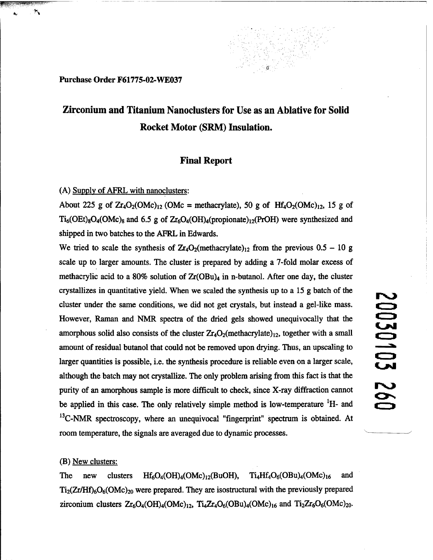Purchase Order F61775-02-WE037

# **Zirconium and Titanium Nanoclusters for Use as an Ablative for Solid Rocket Motor (SRM) Insulation.**

## **Final Report**

(A) Supply of AFRL with nanoclusters:

About 225 g of  $Zr_4O_2(OMc)_{12}$  (OMc = methacrylate), 50 g of  $Hf_4O_2(OMc)_{12}$ , 15 g of  $Ti<sub>6</sub>(OEt)<sub>8</sub>O<sub>4</sub>(OMc)<sub>8</sub>$  and 6.5 g of  $Zr<sub>6</sub>O<sub>4</sub>(OH)<sub>4</sub>(propionate)<sub>12</sub>(ProH)$  were synthesized and shipped in two batches to the AFRL in Edwards.

We tried to scale the synthesis of  $Zr_4O_2$ (methacrylate)<sub>12</sub> from the previous 0.5 - 10 g scale up to larger amounts. The cluster is prepared by adding a 7-fold molar excess of methacrylic acid to a 80% solution of  $Zr(OBu)_{4}$  in n-butanol. After one day, the cluster crystallizes in quantitative yield. When we scaled the synthesis up to a 15 g batch of the cluster under the same conditions, we did not get crystals, but instead a gel-like mass. However, Raman and NMR spectra of the dried gels showed unequivocally that the amorphous solid also consists of the cluster  $Zr_4O_2$ (methacrylate)<sub>12</sub>, together with a small amount of residual butanol that could not be removed upon drying. Thus, an upscaling to larger quantities is possible, i.e. the synthesis procedure is reliable even on a larger scale, although the batch may not crystallize. The only problem arising from this fact is that the purity of an amorphous sample is more difficult to check, since X-ray diffraction cannot be applied in this case. The only relatively simple method is low-temperature  $H$ - and  $13^1$ C-NMR spectroscopy, where an unequivocal "fingerprint" spectrum is obtained. At room temperature, the signals are averaged due to dynamic processes.

## (B) New clusters:

The new clusters  $Hf_6O_4(OH)_4(OMc)_{12}(BuOH)$ ,  $Ti_4Hf_4O_6(OBu)_4(OMc)_{16}$  and  $Ti<sub>2</sub>(Zr/Hf)<sub>6</sub>O<sub>6</sub>(OMc)<sub>20</sub>$  were prepared. They are isostructural with the previously prepared zirconium clusters  $Zr_6O_4(OH)_4(OMc)_{12}$ ,  $Ti_4Zr_4O_6(OBu)_4(OMc)_{16}$  and  $Ti_2Zr_6O_6(OMc)_{20}$ .

# 20030103 260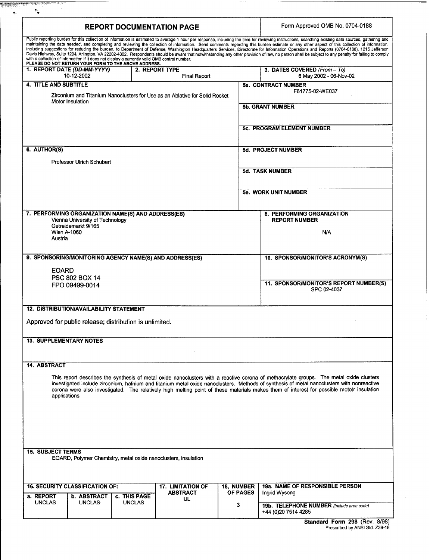| <b>REPORT DOCUMENTATION PAGE</b>                                                                                                                      |                                                     |               |                                                                |                                                        | Form Approved OMB No. 0704-0188                                                                                                                                                                                                                                                                                                                                                                       |
|-------------------------------------------------------------------------------------------------------------------------------------------------------|-----------------------------------------------------|---------------|----------------------------------------------------------------|--------------------------------------------------------|-------------------------------------------------------------------------------------------------------------------------------------------------------------------------------------------------------------------------------------------------------------------------------------------------------------------------------------------------------------------------------------------------------|
|                                                                                                                                                       |                                                     |               |                                                                |                                                        | Public reporting burden for this collection of information is estimated to average 1 hour per response, including the time for reviewing instructions, searching existing data sources, gathering and<br>maintaining the data needed, and completing and reviewing the collection of information. Send comments regarding this burden estimate or any other aspect of this collection of information, |
|                                                                                                                                                       |                                                     |               |                                                                |                                                        | including suggestions for reducing the burden, to Department of Defense, Washington Headquarters Services, Directorate for Information Operations and Reports (0704-0188), 1215 Jefferson<br>Davis Highway, Suite 1204, Arlington, VA 22202-4302. Respondents should be aware that notwithstanding any other provision of law, no person shall be subject to any penalty for failing to comply        |
| with a collection of information if it does not display a currently valid OMB control number.<br>PLEASE DO NOT RETURN YOUR FORM TO THE ABOVE ADDRESS. |                                                     |               |                                                                |                                                        |                                                                                                                                                                                                                                                                                                                                                                                                       |
| 1. REPORT DATE (DD-MM-YYYY)                                                                                                                           | 2. REPORT TYPE<br>10-12-2002<br><b>Final Report</b> |               |                                                                | 3. DATES COVERED (From - To)<br>6 May 2002 - 06-Nov-02 |                                                                                                                                                                                                                                                                                                                                                                                                       |
| <b>4. TITLE AND SUBTITLE</b>                                                                                                                          |                                                     |               |                                                                |                                                        | 5a. CONTRACT NUMBER                                                                                                                                                                                                                                                                                                                                                                                   |
| Zirconium and Titanium Nanoclusters for Use as an Ablative for Solid Rocket<br>Motor Insulation                                                       |                                                     |               |                                                                |                                                        | F61775-02-WE037                                                                                                                                                                                                                                                                                                                                                                                       |
|                                                                                                                                                       |                                                     |               |                                                                |                                                        | <b>5b. GRANT NUMBER</b>                                                                                                                                                                                                                                                                                                                                                                               |
|                                                                                                                                                       |                                                     |               |                                                                |                                                        |                                                                                                                                                                                                                                                                                                                                                                                                       |
|                                                                                                                                                       |                                                     |               |                                                                |                                                        | <b>5c. PROGRAM ELEMENT NUMBER</b>                                                                                                                                                                                                                                                                                                                                                                     |
|                                                                                                                                                       |                                                     |               |                                                                |                                                        |                                                                                                                                                                                                                                                                                                                                                                                                       |
| 6. AUTHOR(S)<br>Professor Ulrich Schubert                                                                                                             |                                                     |               |                                                                |                                                        | 5d. PROJECT NUMBER                                                                                                                                                                                                                                                                                                                                                                                    |
|                                                                                                                                                       |                                                     |               |                                                                |                                                        | 5d. TASK NUMBER                                                                                                                                                                                                                                                                                                                                                                                       |
|                                                                                                                                                       |                                                     |               |                                                                |                                                        |                                                                                                                                                                                                                                                                                                                                                                                                       |
|                                                                                                                                                       |                                                     |               |                                                                |                                                        | 5e. WORK UNIT NUMBER                                                                                                                                                                                                                                                                                                                                                                                  |
|                                                                                                                                                       |                                                     |               |                                                                |                                                        |                                                                                                                                                                                                                                                                                                                                                                                                       |
| 7. PERFORMING ORGANIZATION NAME(S) AND ADDRESS(ES)<br>Vienna University of Technology                                                                 |                                                     |               |                                                                |                                                        | 8. PERFORMING ORGANIZATION<br><b>REPORT NUMBER</b>                                                                                                                                                                                                                                                                                                                                                    |
| Getreidemarkt 9/165<br>Wien A-1060                                                                                                                    |                                                     |               |                                                                |                                                        |                                                                                                                                                                                                                                                                                                                                                                                                       |
| Austria                                                                                                                                               |                                                     |               |                                                                |                                                        | N/A                                                                                                                                                                                                                                                                                                                                                                                                   |
|                                                                                                                                                       |                                                     |               |                                                                |                                                        |                                                                                                                                                                                                                                                                                                                                                                                                       |
| 9. SPONSORING/MONITORING AGENCY NAME(S) AND ADDRESS(ES)                                                                                               |                                                     |               |                                                                |                                                        | 10. SPONSOR/MONITOR'S ACRONYM(S)                                                                                                                                                                                                                                                                                                                                                                      |
| <b>EOARD</b><br>PSC 802 BOX 14                                                                                                                        |                                                     |               |                                                                |                                                        |                                                                                                                                                                                                                                                                                                                                                                                                       |
| FPO 09499-0014                                                                                                                                        |                                                     |               |                                                                |                                                        | 11. SPONSOR/MONITOR'S REPORT NUMBER(S)<br>SPC 02-4037                                                                                                                                                                                                                                                                                                                                                 |
|                                                                                                                                                       |                                                     |               |                                                                |                                                        |                                                                                                                                                                                                                                                                                                                                                                                                       |
| <b>12. DISTRIBUTION/AVAILABILITY STATEMENT</b>                                                                                                        |                                                     |               |                                                                |                                                        |                                                                                                                                                                                                                                                                                                                                                                                                       |
| Approved for public release; distribution is unlimited.                                                                                               |                                                     |               |                                                                |                                                        |                                                                                                                                                                                                                                                                                                                                                                                                       |
|                                                                                                                                                       |                                                     |               |                                                                |                                                        |                                                                                                                                                                                                                                                                                                                                                                                                       |
| <b>13. SUPPLEMENTARY NOTES</b>                                                                                                                        |                                                     |               |                                                                |                                                        |                                                                                                                                                                                                                                                                                                                                                                                                       |
|                                                                                                                                                       |                                                     |               |                                                                |                                                        |                                                                                                                                                                                                                                                                                                                                                                                                       |
| 14. ABSTRACT                                                                                                                                          |                                                     |               |                                                                |                                                        |                                                                                                                                                                                                                                                                                                                                                                                                       |
|                                                                                                                                                       |                                                     |               |                                                                |                                                        | This report describes the synthesis of metal oxide nanoclusters with a reactive corona of methacrylate groups. The metal oxide clusters<br>investigated include zirconium, hafnium and titanium metal oxide nanoclusters. Methods of synthesis of metal nanoclusters with nonreactive                                                                                                                 |
| applications.                                                                                                                                         |                                                     |               |                                                                |                                                        | corona were also investigated. The relatively high melting point of these materials makes them of interest for possible mototr insulation                                                                                                                                                                                                                                                             |
|                                                                                                                                                       |                                                     |               |                                                                |                                                        |                                                                                                                                                                                                                                                                                                                                                                                                       |
|                                                                                                                                                       |                                                     |               |                                                                |                                                        |                                                                                                                                                                                                                                                                                                                                                                                                       |
|                                                                                                                                                       |                                                     |               |                                                                |                                                        |                                                                                                                                                                                                                                                                                                                                                                                                       |
|                                                                                                                                                       |                                                     |               |                                                                |                                                        |                                                                                                                                                                                                                                                                                                                                                                                                       |
| <b>15. SUBJECT TERMS</b>                                                                                                                              |                                                     |               |                                                                |                                                        |                                                                                                                                                                                                                                                                                                                                                                                                       |
|                                                                                                                                                       |                                                     |               | EOARD, Polymer Chemistry, metal oxide nanoclusters, insulation |                                                        |                                                                                                                                                                                                                                                                                                                                                                                                       |
|                                                                                                                                                       |                                                     |               |                                                                |                                                        |                                                                                                                                                                                                                                                                                                                                                                                                       |
| <b>16. SECURITY CLASSIFICATION OF:</b>                                                                                                                | <b>17. LIMITATION OF</b>                            |               | 18, NUMBER                                                     | 19a. NAME OF RESPONSIBLE PERSON                        |                                                                                                                                                                                                                                                                                                                                                                                                       |
| a. REPORT                                                                                                                                             | <b>b. ABSTRACT</b>                                  | c. THIS PAGE  | <b>ABSTRACT</b><br>UL                                          | OF PAGES                                               | Ingrid Wysong                                                                                                                                                                                                                                                                                                                                                                                         |
| <b>UNCLAS</b>                                                                                                                                         | <b>UNCLAS</b>                                       | <b>UNCLAS</b> |                                                                | 3                                                      | 19b. TELEPHONE NUMBER (Include area code)                                                                                                                                                                                                                                                                                                                                                             |
|                                                                                                                                                       |                                                     |               |                                                                |                                                        | +44 (0)20 7514 4285                                                                                                                                                                                                                                                                                                                                                                                   |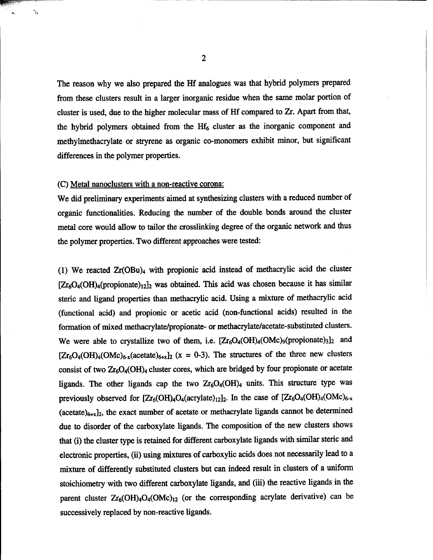The reason why we also prepared the Hf analogues was that hybrid polymers prepared from these clusters result in a larger inorganic residue when the same molar portion of cluster is used, due to the higher molecular mass of Hf compared to Zr. Apart from that, the hybrid polymers obtained from the  $Hf_6$  cluster as the inorganic component and methylmethacrylate or stryrene as organic co-monomers exhibit minor, but significant differences in the polymer properties.

## (C) Metal nanoclusters with a non-reactive corona:

 $\gamma_2$ 

We did preliminary experiments aimed at synthesizing clusters with a reduced number of organic functionalities. Reducing the number of the double bonds around the cluster metal core would allow to tailor the crosslinking degree of the organic network and thus the polymer properties. Two different approaches were tested:

(1) We reacted Zr(OBu)<sup>4</sup> with propionic acid instead of methacrylic acid the cluster  $[Zr_6O_4(OH)_4$ (propionate)<sub>12</sub>]<sub>2</sub> was obtained. This acid was chosen because it has similar steric and ligand properties than methacrylic acid. Using a mixture of methacrylic acid (functional acid) and propionic or acetic acid (non-functional acids) resulted in the formation of mixed methacrylate/propionate- or methacrylate/acetate-substituted clusters. We were able to crystallize two of them, i.e.  $[Zr_6O_4(OH)_4(OMc)_9(propionate)_3]_2$  and  $[Zr_6O_4(OH)_4(OMc)_{6-x}$ (acetate)<sub>6+x</sub>]<sub>2</sub> (x = 0-3). The structures of the three new clusters consist of two  $Zr_6O_4(OH)_4$  cluster cores, which are bridged by four propionate or acetate ligands. The other ligands cap the two  $Zr_6O_4(OH)_4$  units. This structure type was previously observed for  $[Zr_6(OH)_4O_4(\text{acrylate})_{12}]_2$ . In the case of  $[Zr_6O_4(OH)_4(OMc)_{6-x}]_2$ (acetate) $_{6+x}]_2$ , the exact number of acetate or methacrylate ligands cannot be determined due to disorder of the carboxylate ligands. The composition of the new clusters shows that (i) the cluster type is retained for different carboxylate ligands with similar steric and electronic properties, (ii) using mixtures of carboxylic acids does not necessarily lead to a mixture of differently substituted clusters but can indeed result in clusters of a uniform stoichiometry with two different carboxylate ligands, and (iii) the reactive ligands in the parent cluster  $Zr_6(OH)_4O_4(OMc)_{12}$  (or the corresponding acrylate derivative) can be successively replaced by non-reactive ligands.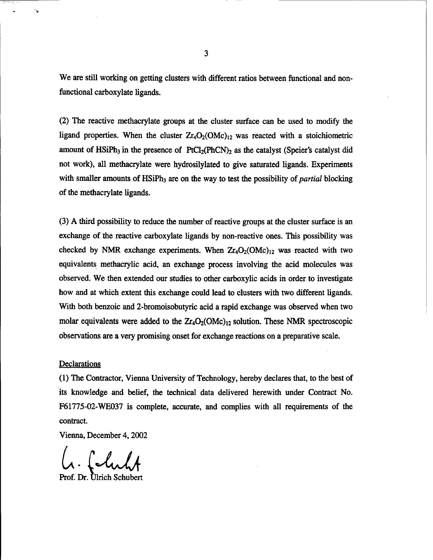We are still working on getting clusters with different ratios between functional and nonfunctional carboxylate ligands.

(2) The reactive methacrylate groups at the cluster surface can be used to modify the ligand properties. When the cluster  $Zr_4O_2(OMc)_{12}$  was reacted with a stoichiometric amount of  $H\sin Ph_3$  in the presence of  $PtCl_2(PhCN)_2$  as the catalyst (Speier's catalyst did not work), all methacrylate were hydrosilylated to give saturated ligands. Experiments with smaller amounts of HSiPh<sub>3</sub> are on the way to test the possibility of *partial* blocking of the methacrylate ligands.

(3) A third possibility to reduce the number of reactive groups at the cluster surface is an exchange of the reactive carboxylate ligands by non-reactive ones. This possibility was checked by NMR exchange experiments. When  $Zr_4O_2(OMc)_{12}$  was reacted with two equivalents methacrylic acid, an exchange process involving the acid molecules was observed. We then extended our studies to other carboxylic acids in order to investigate how and at which extent this exchange could lead to clusters with two different ligands. With both benzoic and 2-bromoisobutyric acid a rapid exchange was observed when two molar equivalents were added to the  $Zr_4O_2(OMc)_{12}$  solution. These NMR spectroscopic observations are a very promising onset for exchange reactions on a preparative scale.

## Declarations

 $\lambda_{\mathbf{k}}$ 

(1) The Contractor, Vienna University of Technology, hereby declares that, to the best of its knowledge and belief, the technical data delivered herewith under Contract No. F61775-02-WE037 is complete, accurate, and complies with all requirements of the contract.

Vienna, December 4,2002

folish *L*

Prof. Dr. Ulrich Schubert